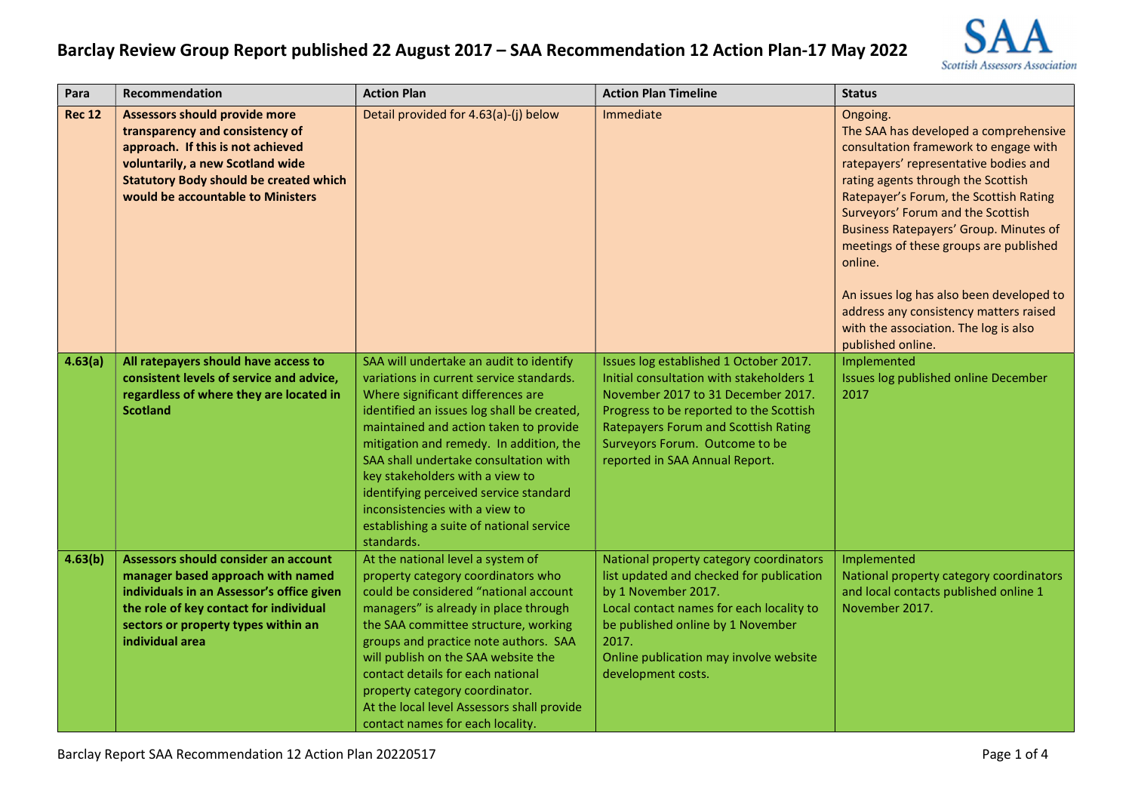

| Para          | Recommendation                                                                                                                                                                                                                         | <b>Action Plan</b>                                                                                                                                                                                                                                                                                                                                                                                                                                                            | <b>Action Plan Timeline</b>                                                                                                                                                                                                                                                            | <b>Status</b>                                                                                                                                                                                                                                                                                                                                                                                                                                                                                                      |
|---------------|----------------------------------------------------------------------------------------------------------------------------------------------------------------------------------------------------------------------------------------|-------------------------------------------------------------------------------------------------------------------------------------------------------------------------------------------------------------------------------------------------------------------------------------------------------------------------------------------------------------------------------------------------------------------------------------------------------------------------------|----------------------------------------------------------------------------------------------------------------------------------------------------------------------------------------------------------------------------------------------------------------------------------------|--------------------------------------------------------------------------------------------------------------------------------------------------------------------------------------------------------------------------------------------------------------------------------------------------------------------------------------------------------------------------------------------------------------------------------------------------------------------------------------------------------------------|
| <b>Rec 12</b> | <b>Assessors should provide more</b><br>transparency and consistency of<br>approach. If this is not achieved<br>voluntarily, a new Scotland wide<br><b>Statutory Body should be created which</b><br>would be accountable to Ministers | Detail provided for 4.63(a)-(j) below                                                                                                                                                                                                                                                                                                                                                                                                                                         | Immediate                                                                                                                                                                                                                                                                              | Ongoing.<br>The SAA has developed a comprehensive<br>consultation framework to engage with<br>ratepayers' representative bodies and<br>rating agents through the Scottish<br>Ratepayer's Forum, the Scottish Rating<br>Surveyors' Forum and the Scottish<br><b>Business Ratepayers' Group. Minutes of</b><br>meetings of these groups are published<br>online.<br>An issues log has also been developed to<br>address any consistency matters raised<br>with the association. The log is also<br>published online. |
| 4.63(a)       | All ratepayers should have access to<br>consistent levels of service and advice,<br>regardless of where they are located in<br><b>Scotland</b>                                                                                         | SAA will undertake an audit to identify<br>variations in current service standards.<br>Where significant differences are<br>identified an issues log shall be created,<br>maintained and action taken to provide<br>mitigation and remedy. In addition, the<br>SAA shall undertake consultation with<br>key stakeholders with a view to<br>identifying perceived service standard<br>inconsistencies with a view to<br>establishing a suite of national service<br>standards. | Issues log established 1 October 2017.<br>Initial consultation with stakeholders 1<br>November 2017 to 31 December 2017.<br>Progress to be reported to the Scottish<br><b>Ratepayers Forum and Scottish Rating</b><br>Surveyors Forum. Outcome to be<br>reported in SAA Annual Report. | Implemented<br>Issues log published online December<br>2017                                                                                                                                                                                                                                                                                                                                                                                                                                                        |
| 4.63(b)       | Assessors should consider an account<br>manager based approach with named<br>individuals in an Assessor's office given<br>the role of key contact for individual<br>sectors or property types within an<br>individual area             | At the national level a system of<br>property category coordinators who<br>could be considered "national account<br>managers" is already in place through<br>the SAA committee structure, working<br>groups and practice note authors. SAA<br>will publish on the SAA website the<br>contact details for each national<br>property category coordinator.<br>At the local level Assessors shall provide<br>contact names for each locality.                                    | National property category coordinators<br>list updated and checked for publication<br>by 1 November 2017.<br>Local contact names for each locality to<br>be published online by 1 November<br>2017.<br>Online publication may involve website<br>development costs.                   | Implemented<br>National property category coordinators<br>and local contacts published online 1<br>November 2017.                                                                                                                                                                                                                                                                                                                                                                                                  |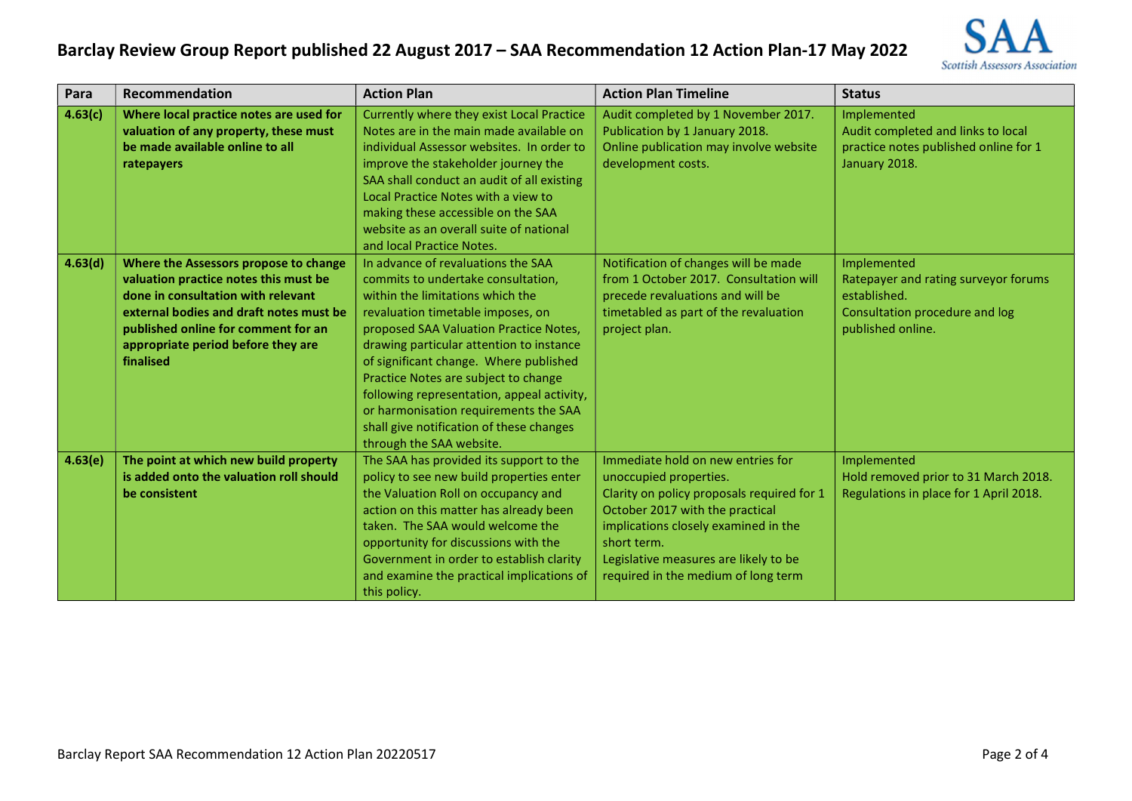

| Para    | Recommendation                                                                                                                                                                                                                                            | <b>Action Plan</b>                                                                                                                                                                                                                                                                                                                                                                                                                                                                       | <b>Action Plan Timeline</b>                                                                                                                                                                                                                                                         | <b>Status</b>                                                                                                              |
|---------|-----------------------------------------------------------------------------------------------------------------------------------------------------------------------------------------------------------------------------------------------------------|------------------------------------------------------------------------------------------------------------------------------------------------------------------------------------------------------------------------------------------------------------------------------------------------------------------------------------------------------------------------------------------------------------------------------------------------------------------------------------------|-------------------------------------------------------------------------------------------------------------------------------------------------------------------------------------------------------------------------------------------------------------------------------------|----------------------------------------------------------------------------------------------------------------------------|
| 4.63(c) | Where local practice notes are used for<br>valuation of any property, these must<br>be made available online to all<br>ratepayers                                                                                                                         | Currently where they exist Local Practice<br>Notes are in the main made available on<br>individual Assessor websites. In order to<br>improve the stakeholder journey the<br>SAA shall conduct an audit of all existing<br>Local Practice Notes with a view to<br>making these accessible on the SAA<br>website as an overall suite of national<br>and local Practice Notes.                                                                                                              | Audit completed by 1 November 2017.<br>Publication by 1 January 2018.<br>Online publication may involve website<br>development costs.                                                                                                                                               | Implemented<br>Audit completed and links to local<br>practice notes published online for 1<br>January 2018.                |
| 4.63(d) | Where the Assessors propose to change<br>valuation practice notes this must be<br>done in consultation with relevant<br>external bodies and draft notes must be<br>published online for comment for an<br>appropriate period before they are<br>finalised | In advance of revaluations the SAA<br>commits to undertake consultation,<br>within the limitations which the<br>revaluation timetable imposes, on<br>proposed SAA Valuation Practice Notes,<br>drawing particular attention to instance<br>of significant change. Where published<br>Practice Notes are subject to change<br>following representation, appeal activity,<br>or harmonisation requirements the SAA<br>shall give notification of these changes<br>through the SAA website. | Notification of changes will be made<br>from 1 October 2017. Consultation will<br>precede revaluations and will be<br>timetabled as part of the revaluation<br>project plan.                                                                                                        | Implemented<br>Ratepayer and rating surveyor forums<br>established.<br>Consultation procedure and log<br>published online. |
| 4.63(e) | The point at which new build property<br>is added onto the valuation roll should<br>be consistent                                                                                                                                                         | The SAA has provided its support to the<br>policy to see new build properties enter<br>the Valuation Roll on occupancy and<br>action on this matter has already been<br>taken. The SAA would welcome the<br>opportunity for discussions with the<br>Government in order to establish clarity<br>and examine the practical implications of<br>this policy.                                                                                                                                | Immediate hold on new entries for<br>unoccupied properties.<br>Clarity on policy proposals required for 1<br>October 2017 with the practical<br>implications closely examined in the<br>short term.<br>Legislative measures are likely to be<br>required in the medium of long term | Implemented<br>Hold removed prior to 31 March 2018.<br>Regulations in place for 1 April 2018.                              |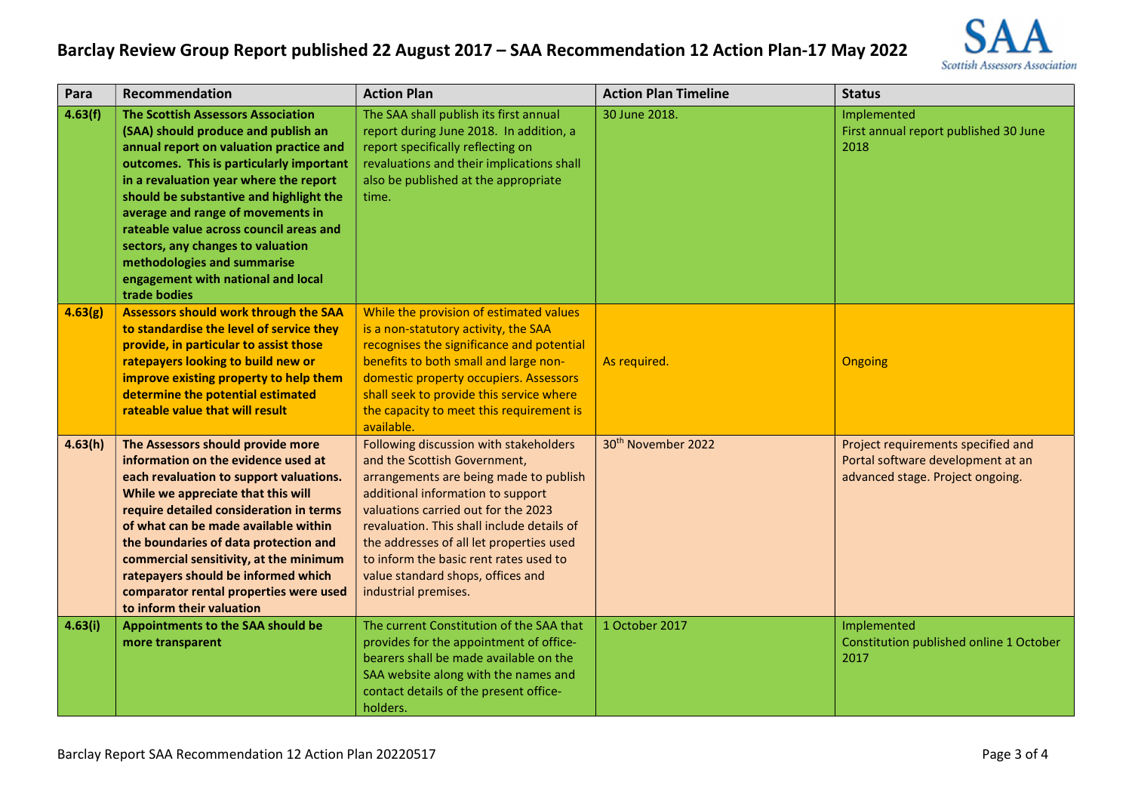

| Para    | Recommendation                                                                                                                                                                                                                                                                                                                                                                                                                                                         | <b>Action Plan</b>                                                                                                                                                                                                                                                                                                                                                                            | <b>Action Plan Timeline</b>    | <b>Status</b>                                                                                               |
|---------|------------------------------------------------------------------------------------------------------------------------------------------------------------------------------------------------------------------------------------------------------------------------------------------------------------------------------------------------------------------------------------------------------------------------------------------------------------------------|-----------------------------------------------------------------------------------------------------------------------------------------------------------------------------------------------------------------------------------------------------------------------------------------------------------------------------------------------------------------------------------------------|--------------------------------|-------------------------------------------------------------------------------------------------------------|
| 4.63(f) | <b>The Scottish Assessors Association</b><br>(SAA) should produce and publish an<br>annual report on valuation practice and<br>outcomes. This is particularly important<br>in a revaluation year where the report<br>should be substantive and highlight the<br>average and range of movements in<br>rateable value across council areas and<br>sectors, any changes to valuation<br>methodologies and summarise<br>engagement with national and local<br>trade bodies | The SAA shall publish its first annual<br>report during June 2018. In addition, a<br>report specifically reflecting on<br>revaluations and their implications shall<br>also be published at the appropriate<br>time.                                                                                                                                                                          | 30 June 2018.                  | Implemented<br>First annual report published 30 June<br>2018                                                |
| 4.63(g) | <b>Assessors should work through the SAA</b><br>to standardise the level of service they<br>provide, in particular to assist those<br>ratepayers looking to build new or<br>improve existing property to help them<br>determine the potential estimated<br>rateable value that will result                                                                                                                                                                             | While the provision of estimated values<br>is a non-statutory activity, the SAA<br>recognises the significance and potential<br>benefits to both small and large non-<br>domestic property occupiers. Assessors<br>shall seek to provide this service where<br>the capacity to meet this requirement is<br>available.                                                                         | As required.                   | Ongoing                                                                                                     |
| 4.63(h) | The Assessors should provide more<br>information on the evidence used at<br>each revaluation to support valuations.<br>While we appreciate that this will<br>require detailed consideration in terms<br>of what can be made available within<br>the boundaries of data protection and<br>commercial sensitivity, at the minimum<br>ratepayers should be informed which<br>comparator rental properties were used<br>to inform their valuation                          | Following discussion with stakeholders<br>and the Scottish Government,<br>arrangements are being made to publish<br>additional information to support<br>valuations carried out for the 2023<br>revaluation. This shall include details of<br>the addresses of all let properties used<br>to inform the basic rent rates used to<br>value standard shops, offices and<br>industrial premises. | 30 <sup>th</sup> November 2022 | Project requirements specified and<br>Portal software development at an<br>advanced stage. Project ongoing. |
| 4.63(i) | Appointments to the SAA should be<br>more transparent                                                                                                                                                                                                                                                                                                                                                                                                                  | The current Constitution of the SAA that<br>provides for the appointment of office-<br>bearers shall be made available on the<br>SAA website along with the names and<br>contact details of the present office-<br>holders.                                                                                                                                                                   | 1 October 2017                 | Implemented<br>Constitution published online 1 October<br>2017                                              |